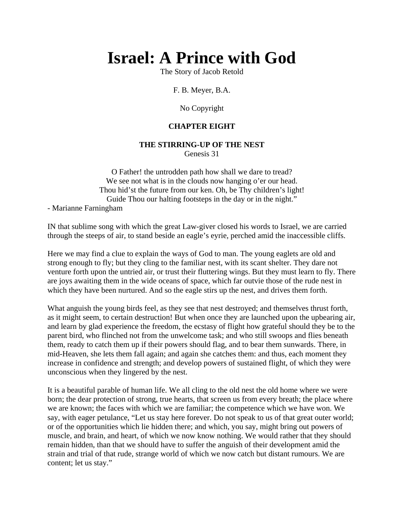# **Israel: A Prince with God**

F. B. Meyer, B.A.

No Copyright

# **CHAPTER EIGHT**

#### **THE STIRRING-UP OF THE NEST**  Genesis 31

O Father! the untrodden path how shall we dare to tread? We see not what is in the clouds now hanging o'er our head. Thou hid'st the future from our ken. Oh, be Thy children's light! Guide Thou our halting footsteps in the day or in the night."

- Marianne Farningham

IN that sublime song with which the great Law-giver closed his words to Israel, we are carried through the steeps of air, to stand beside an eagle's eyrie, perched amid the inaccessible cliffs.

Here we may find a clue to explain the ways of God to man. The young eaglets are old and strong enough to fly; but they cling to the familiar nest, with its scant shelter. They dare not venture forth upon the untried air, or trust their fluttering wings. But they must learn to fly. There are joys awaiting them in the wide oceans of space, which far outvie those of the rude nest in which they have been nurtured. And so the eagle stirs up the nest, and drives them forth.

What anguish the young birds feel, as they see that nest destroyed; and themselves thrust forth, as it might seem, to certain destruction! But when once they are launched upon the upbearing air, and learn by glad experience the freedom, the ecstasy of flight how grateful should they be to the parent bird, who flinched not from the unwelcome task; and who still swoops and flies beneath them, ready to catch them up if their powers should flag, and to bear them sunwards. There, in mid-Heaven, she lets them fall again; and again she catches them: and thus, each moment they increase in confidence and strength; and develop powers of sustained flight, of which they were unconscious when they lingered by the nest.

It is a beautiful parable of human life. We all cling to the old nest the old home where we were born; the dear protection of strong, true hearts, that screen us from every breath; the place where we are known; the faces with which we are familiar; the competence which we have won. We say, with eager petulance, "Let us stay here forever. Do not speak to us of that great outer world; or of the opportunities which lie hidden there; and which, you say, might bring out powers of muscle, and brain, and heart, of which we now know nothing. We would rather that they should remain hidden, than that we should have to suffer the anguish of their development amid the strain and trial of that rude, strange world of which we now catch but distant rumours. We are content; let us stay."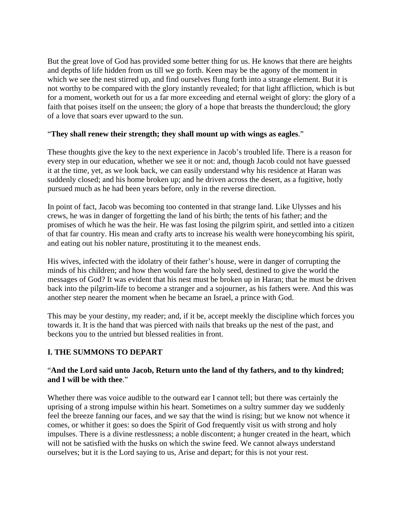But the great love of God has provided some better thing for us. He knows that there are heights and depths of life hidden from us till we go forth. Keen may be the agony of the moment in which we see the nest stirred up, and find ourselves flung forth into a strange element. But it is not worthy to be compared with the glory instantly revealed; for that light affliction, which is but for a moment, worketh out for us a far more exceeding and eternal weight of glory: the glory of a faith that poises itself on the unseen; the glory of a hope that breasts the thundercloud; the glory of a love that soars ever upward to the sun.

#### "**They shall renew their strength; they shall mount up with wings as eagles**."

These thoughts give the key to the next experience in Jacob's troubled life. There is a reason for every step in our education, whether we see it or not: and, though Jacob could not have guessed it at the time, yet, as we look back, we can easily understand why his residence at Haran was suddenly closed; and his home broken up; and he driven across the desert, as a fugitive, hotly pursued much as he had been years before, only in the reverse direction.

In point of fact, Jacob was becoming too contented in that strange land. Like Ulysses and his crews, he was in danger of forgetting the land of his birth; the tents of his father; and the promises of which he was the heir. He was fast losing the pilgrim spirit, and settled into a citizen of that far country. His mean and crafty arts to increase his wealth were honeycombing his spirit, and eating out his nobler nature, prostituting it to the meanest ends.

His wives, infected with the idolatry of their father's house, were in danger of corrupting the minds of his children; and how then would fare the holy seed, destined to give the world the messages of God? It was evident that his nest must be broken up in Haran; that he must be driven back into the pilgrim-life to become a stranger and a sojourner, as his fathers were. And this was another step nearer the moment when he became an Israel, a prince with God.

This may be your destiny, my reader; and, if it be, accept meekly the discipline which forces you towards it. It is the hand that was pierced with nails that breaks up the nest of the past, and beckons you to the untried but blessed realities in front.

## **I. THE SUMMONS TO DEPART**

## "**And the Lord said unto Jacob, Return unto the land of thy fathers, and to thy kindred; and I will be with thee**."

Whether there was voice audible to the outward ear I cannot tell; but there was certainly the uprising of a strong impulse within his heart. Sometimes on a sultry summer day we suddenly feel the breeze fanning our faces, and we say that the wind is rising; but we know not whence it comes, or whither it goes: so does the Spirit of God frequently visit us with strong and holy impulses. There is a divine restlessness; a noble discontent; a hunger created in the heart, which will not be satisfied with the husks on which the swine feed. We cannot always understand ourselves; but it is the Lord saying to us, Arise and depart; for this is not your rest.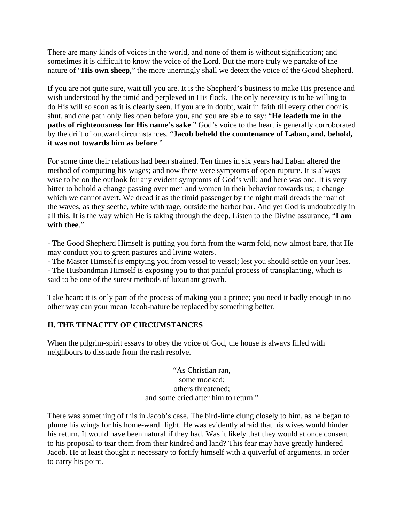There are many kinds of voices in the world, and none of them is without signification; and sometimes it is difficult to know the voice of the Lord. But the more truly we partake of the nature of "**His own sheep**," the more unerringly shall we detect the voice of the Good Shepherd.

If you are not quite sure, wait till you are. It is the Shepherd's business to make His presence and wish understood by the timid and perplexed in His flock. The only necessity is to be willing to do His will so soon as it is clearly seen. If you are in doubt, wait in faith till every other door is shut, and one path only lies open before you, and you are able to say: "**He leadeth me in the paths of righteousness for His name's sake**." God's voice to the heart is generally corroborated by the drift of outward circumstances. "**Jacob beheld the countenance of Laban, and, behold, it was not towards him as before**."

For some time their relations had been strained. Ten times in six years had Laban altered the method of computing his wages; and now there were symptoms of open rupture. It is always wise to be on the outlook for any evident symptoms of God's will; and here was one. It is very bitter to behold a change passing over men and women in their behavior towards us; a change which we cannot avert. We dread it as the timid passenger by the night mail dreads the roar of the waves, as they seethe, white with rage, outside the harbor bar. And yet God is undoubtedly in all this. It is the way which He is taking through the deep. Listen to the Divine assurance, "**I am with thee**."

- The Good Shepherd Himself is putting you forth from the warm fold, now almost bare, that He may conduct you to green pastures and living waters.

- The Master Himself is emptying you from vessel to vessel; lest you should settle on your lees.

- The Husbandman Himself is exposing you to that painful process of transplanting, which is said to be one of the surest methods of luxuriant growth.

Take heart: it is only part of the process of making you a prince; you need it badly enough in no other way can your mean Jacob-nature be replaced by something better.

## **II. THE TENACITY OF CIRCUMSTANCES**

When the pilgrim-spirit essays to obey the voice of God, the house is always filled with neighbours to dissuade from the rash resolve.

> "As Christian ran, some mocked; others threatened; and some cried after him to return."

There was something of this in Jacob's case. The bird-lime clung closely to him, as he began to plume his wings for his home-ward flight. He was evidently afraid that his wives would hinder his return. It would have been natural if they had. Was it likely that they would at once consent to his proposal to tear them from their kindred and land? This fear may have greatly hindered Jacob. He at least thought it necessary to fortify himself with a quiverful of arguments, in order to carry his point.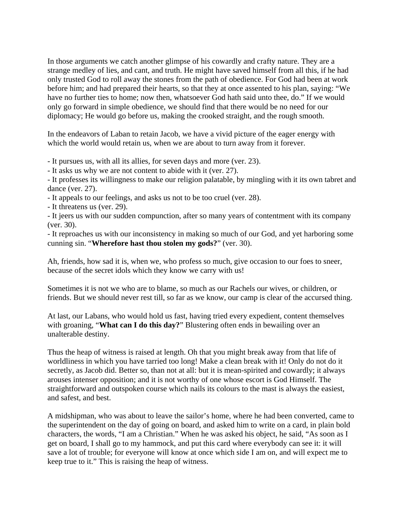In those arguments we catch another glimpse of his cowardly and crafty nature. They are a strange medley of lies, and cant, and truth. He might have saved himself from all this, if he had only trusted God to roll away the stones from the path of obedience. For God had been at work before him; and had prepared their hearts, so that they at once assented to his plan, saying: "We have no further ties to home; now then, whatsoever God hath said unto thee, do." If we would only go forward in simple obedience, we should find that there would be no need for our diplomacy; He would go before us, making the crooked straight, and the rough smooth.

In the endeavors of Laban to retain Jacob, we have a vivid picture of the eager energy with which the world would retain us, when we are about to turn away from it forever.

- It pursues us, with all its allies, for seven days and more (ver. 23).

- It asks us why we are not content to abide with it (ver. 27).

- It professes its willingness to make our religion palatable, by mingling with it its own tabret and dance (ver. 27).

- It appeals to our feelings, and asks us not to be too cruel (ver. 28).

- It threatens us (ver. 29).

- It jeers us with our sudden compunction, after so many years of contentment with its company (ver. 30).

- It reproaches us with our inconsistency in making so much of our God, and yet harboring some cunning sin. "**Wherefore hast thou stolen my gods?**" (ver. 30).

Ah, friends, how sad it is, when we, who profess so much, give occasion to our foes to sneer, because of the secret idols which they know we carry with us!

Sometimes it is not we who are to blame, so much as our Rachels our wives, or children, or friends. But we should never rest till, so far as we know, our camp is clear of the accursed thing.

At last, our Labans, who would hold us fast, having tried every expedient, content themselves with groaning, "**What can I do this day?**" Blustering often ends in bewailing over an unalterable destiny.

Thus the heap of witness is raised at length. Oh that you might break away from that life of worldliness in which you have tarried too long! Make a clean break with it! Only do not do it secretly, as Jacob did. Better so, than not at all: but it is mean-spirited and cowardly; it always arouses intenser opposition; and it is not worthy of one whose escort is God Himself. The straightforward and outspoken course which nails its colours to the mast is always the easiest, and safest, and best.

A midshipman, who was about to leave the sailor's home, where he had been converted, came to the superintendent on the day of going on board, and asked him to write on a card, in plain bold characters, the words, "I am a Christian." When he was asked his object, he said, "As soon as I get on board, I shall go to my hammock, and put this card where everybody can see it: it will save a lot of trouble; for everyone will know at once which side I am on, and will expect me to keep true to it." This is raising the heap of witness.